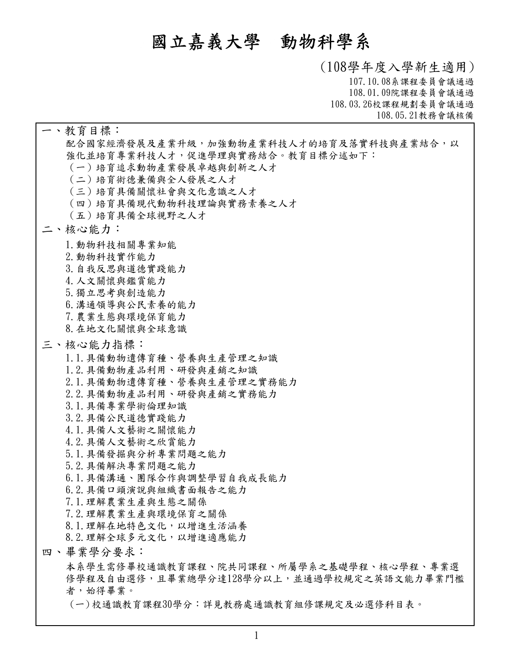# **國立嘉義大學 動物科學系**

**(108學年度入學新生適用) 107.10.08系課程委員會議通過 108.01.09院課程委員會議通過 108.03.26校課程規劃委員會議通過 108.05.21教務會議核備**

配合國家經濟發展及產業升級,加強動物產業科技人才的培育及落實科技與產業結合,以 **強化並培育專業科技人才,促進學理與實務結合。教育目標分述如下: (一)培育追求動物產業發展卓越與創新之人才 (二)培育術德兼備與全人發展之人才 (三)培育具備關懷社會與文化意識之人才 (四)培育具備現代動物科技理論與實務素養之人才 (五)培育具備全球視野之人才 一、教育目標: 1.動物科技相關專業知能 2.動物科技實作能力 3.自我反思與道德實踐能力 4.人文關懷與鑑賞能力 5.獨立思考與創造能力 6.溝通領導與公民素養的能力 7.農業生態與環境保育能力 8.在地文化關懷與全球意識 二、核心能力: 1.1.具備動物遺傳育種、營養與生產管理之知識 1.2.具備動物產品利用、研發與產銷之知識 2.1.具備動物遺傳育種、營養與生產管理之實務能力 2.2.具備動物產品利用、研發與產銷之實務能力 3.1.具備專業學術倫理知識 3.2.具備公民道德實踐能力 4.1.具備人文藝術之關懷能力 4.2.具備人文藝術之欣賞能力 5.1.具備發掘與分析專業問題之能力 5.2.具備解決專業問題之能力 6.1.具備溝通、團隊合作與調整學習自我成長能力 6.2.具備口頭演說與組織書面報告之能力 7.1.理解農業生產與生態之關係 7.2.理解農業生產與環境保育之關係 8.1.理解在地特色文化,以增進生活涵養 8.2.理解全球多元文化,以增進適應能力 三、核心能力指標: 本系學生需修畢校通識教育課程、院共同課程、所屬學系之基礎學程、核心學程、專業選 修學程及自由選修,且畢業總學分達128學分以上,並通過學校規定之英語文能力畢業門檻**│ 四、畢業學分要求:<br>本系學生需修畢校通識教育課程、院共同課程、所屬學系之基礎學程<br>修學程及自由選修,且畢業總學分達128學分以上,並通過學校規定之<br>者,始得畢業。

**(一)校通識教育課程30學分:詳見教務處通識教育組修課規定及必選修科目表。**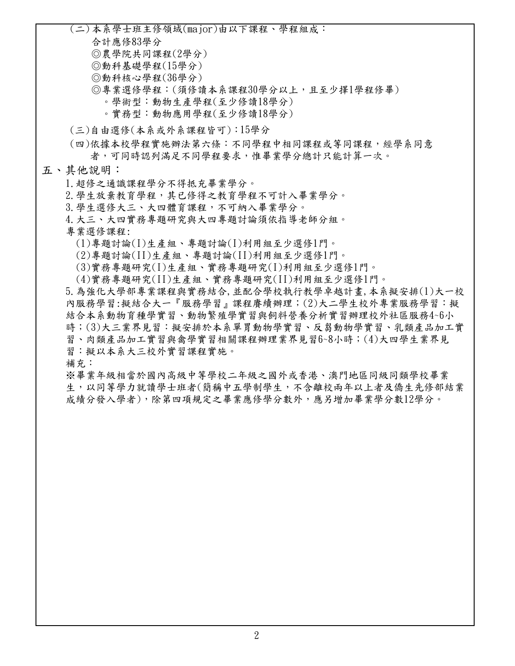**(二)本系學士班主修領域(major)由以下課程、學程組成:**

**合計應修83學分**

**◎農學院共同課程(2學分)**

**◎動科基礎學程(15 )**

**◎動科核心學程(36 )**

**◎專業選修學程:(須修讀本系課程30學分以上,且至少擇1學程修畢)**

 **。學術型:動物生產學程(至少修讀18學分)**

 **。實務型:動物應用學程(至少修讀18學分)**

**(三)自由選修(本系或外系課程皆可):15學分**

**依據本校學程實施辦法第六條:不同學程中相同課程或等同課程,經學系同意 (四) 者,可同時認列滿足不同學程要求,惟畢業學分總計只能計算一次。**

**五、其他說明:**

**1.超修之通識課程學分不得抵充畢業學分。**

**2.學生放棄教育學程,其已修得之教育學程不可計入畢業學分。**

**3.學生選修大三、大四體育課程,不可納入畢業學分。**

**4.大三、大四實務專題研究與大四專題討論須依指導老師分組。**

**專業選修課程:**

 **(1)專題討論(I)生產組、專題討論(I)利用組至少選修1門。**

 **(2)專題討論(II)生產組、專題討論(II)利用組至少選修1門。**

 **(3)實務專題研究(I)生產組、實務專題研究(I)利用組至少選修1門。**

 **(4)實務專題研究(II)生產組、實務專題研究(II)利用組至少選修1門。**

**5.為強化大學部專業課程與實務結合,並配合學校執行教學卓越計畫,本系擬安排(1)大一校 內服務學習:擬結合大一『服務學習』課程賡續辦理;(2)大二學生校外專業服務學習:擬 結合本系動物育種學實習、動物繁殖學實習與飼料營養分析實習辦理校外社區服務4~6小 時;(3)大三業界見習:擬安排於本系單胃動物學實習、反芻動物學實習、乳類產品加工實 習、肉類產品加工實習與禽學實習相關課程辦理業界見習6~8小時;(4)大四學生業界見 習:擬以本系大三校外實習課程實施。**

**補充:**

**※畢業年級相當於國內高級中等學校二年級之國外或香港、澳門地區同級同類學校畢業 生,以同等學力就讀學士班者(簡稱中五學制學生,不含離校兩年以上者及僑生先修部結業 成績分發入學者),除第四項規定之畢業應修學分數外,應另增加畢業學分數12學分。**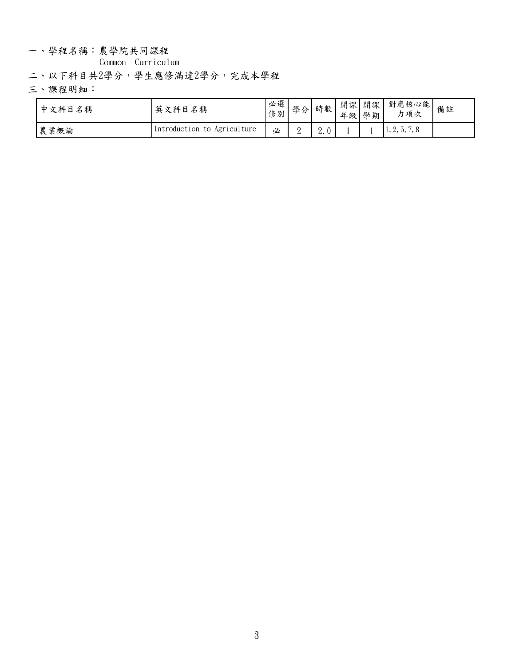一、學程名稱:農學院共同課程

**Common Curriculum**

**二、以下科目共2學分,學生應修滿達2學分,完成本學程**

**三、課程明細:**

| 中文科目名稱 | 英文科目名稱                      | 必選<br>修別 | 學分 | 時數  | 年級 學期 | 開課 開課 | "甲   對應核心能   備註<br>力項次      |  |
|--------|-----------------------------|----------|----|-----|-------|-------|-----------------------------|--|
| 農業概論   | Introduction to Agriculture | 必        | ∼  | 2.0 |       |       | $\vert 1, 2, 5, 7, 8 \vert$ |  |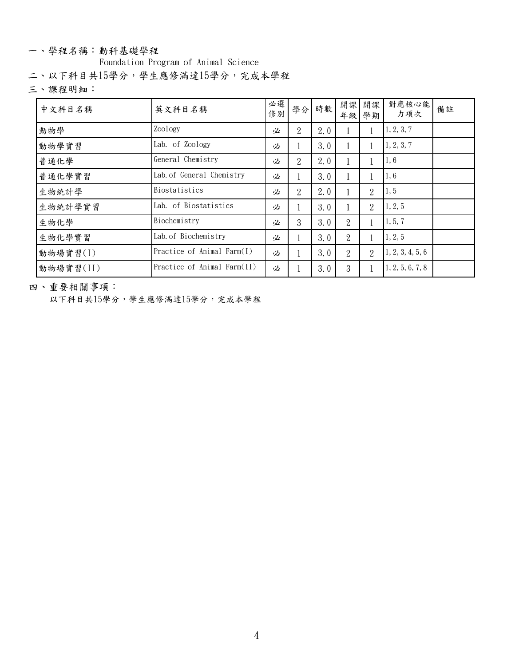#### 一、學程名稱:動科基礎學程

**Foundation Program of Animal Science**

**二、以下科目共15學分,學生應修滿達15學分,完成本學程**

**三、課程明細:**

| 中文科目名稱    | 英文科目名稱                      | 必選<br>修別 |   | 學分 時數 |                | 開課 開課<br>年級 學期 | 對應核心能<br>力項次     | 備註 |
|-----------|-----------------------------|----------|---|-------|----------------|----------------|------------------|----|
| 動物學       | Zoology                     | 必        | 2 | 2.0   |                |                | 1, 2, 3, 7       |    |
| 動物學實習     | Lab. of Zoology             | 必        |   | 3.0   |                |                | 1, 2, 3, 7       |    |
| 普通化學      | General Chemistry           | 必        | 2 | 2.0   |                |                | 1, 6             |    |
| 普通化學實習    | Lab. of General Chemistry   | 必        |   | 3.0   |                |                | 1, 6             |    |
| 生物統計學     | Biostatistics               | 必        | 2 | 2.0   |                | 2              | 1, 5             |    |
| 生物統計學實習   | Lab. of Biostatistics       | 必        |   | 3.0   |                | 2              | 1, 2, 5          |    |
| 生物化學      | Biochemistry                | 必        | 3 | 3.0   | $\overline{2}$ |                | 1, 5, 7          |    |
| 生物化學實習    | Lab. of Biochemistry        | 必        |   | 3.0   | 2              |                | 1, 2, 5          |    |
| 動物場實習(I)  | Practice of Animal Farm(I)  | 必        |   | 3.0   | 2              | $\overline{2}$ | 1, 2, 3, 4, 5, 6 |    |
| 動物場實習(II) | Practice of Animal Farm(II) | 必        |   | 3.0   | 3              |                | 1, 2, 5, 6, 7, 8 |    |

**四、重要相關事項:**

**以下科目共15學分,學生應修滿達15學分,完成本學程**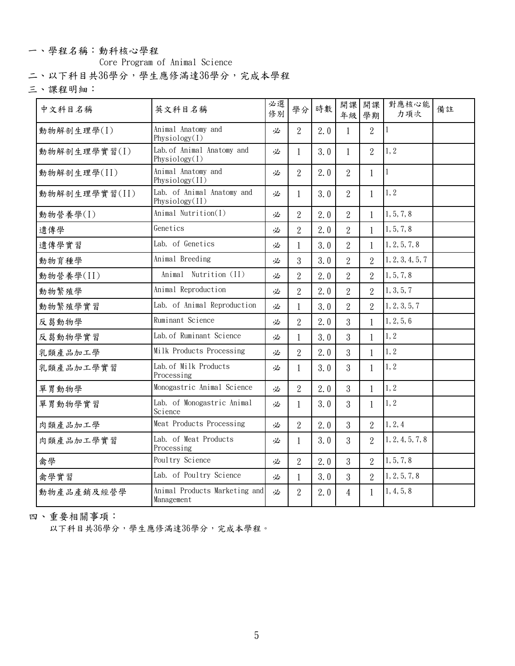#### 一、學程名稱:動科核心學程

**Core Program of Animal Science**

**二、以下科目共36學分,學生應修滿達36學分,完成本學程**

**三、課程明細:**

| 中文科目名稱        | 英文科目名稱                                         | 必選<br>修別 | 學分             | 時數  | 開課             | 開課<br>年級 學期    | 對應核心能<br>力項次       | 備註 |
|---------------|------------------------------------------------|----------|----------------|-----|----------------|----------------|--------------------|----|
| 動物解剖生理學(I)    | Animal Anatomy and<br>Physiology(I)            | 必        | 2              | 2.0 |                | $\overline{2}$ | $\vert$ 1          |    |
| 動物解剖生理學實習(I)  | Lab. of Animal Anatomy and<br>Physiology $(I)$ | 必        | $\mathbf{1}$   | 3.0 | $\mathbf{1}$   | $\overline{2}$ | 1, 2               |    |
| 動物解剖生理學(II)   | Animal Anatomy and<br>Physiology(II)           | 必        | 2              | 2.0 | $\overline{2}$ | $\mathbf{1}$   | $\vert$ 1          |    |
| 動物解剖生理學實習(II) | Lab. of Animal Anatomy and<br>Physiology(II)   | 必        | $\mathbf{1}$   | 3.0 | $\overline{2}$ | $\mathbf{1}$   | 1, 2               |    |
| 動物營養學(I)      | Animal Nutrition(I)                            | 必        | $\overline{2}$ | 2.0 | $\overline{2}$ |                | 1, 5, 7, 8         |    |
| 遺傳學           | Genetics                                       | 必        | $\overline{2}$ | 2.0 | $\overline{2}$ |                | 1, 5, 7, 8         |    |
| 遺傳學實習         | Lab. of Genetics                               | 必        |                | 3.0 | $\overline{2}$ |                | 1, 2, 5, 7, 8      |    |
| 動物育種學         | Animal Breeding                                | 必        | 3              | 3.0 | $\overline{2}$ | $\overline{2}$ | 1, 2, 3, 4, 5, 7   |    |
| 動物營養學(II)     | Animal Nutrition (II)                          | 必        | $\overline{2}$ | 2.0 | $\overline{2}$ | $\overline{2}$ | 1, 5, 7, 8         |    |
| 動物繁殖學         | Animal Reproduction                            | 必        | 2              | 2.0 | $\overline{2}$ | 2              | 1, 3, 5, 7         |    |
| 動物繁殖學實習       | Lab. of Animal Reproduction                    | 必        |                | 3.0 | $\overline{2}$ | $\overline{2}$ | 1, 2, 3, 5, 7      |    |
| 反芻動物學         | Ruminant Science                               | 必        | $\overline{2}$ | 2.0 | 3              |                | 1, 2, 5, 6         |    |
| 反芻動物學實習       | Lab. of Ruminant Science                       | 必        |                | 3.0 | 3              |                | 1, 2               |    |
| 乳類產品加工學       | Milk Products Processing                       | 必        | $\overline{2}$ | 2.0 | 3              | $\mathbf{1}$   | 1, 2               |    |
| 乳類產品加工學實習     | Lab. of Milk Products<br>Processing            | 必        |                | 3.0 | 3              |                | 1, 2               |    |
| 單胃動物學         | Monogastric Animal Science                     | 必        | $\overline{2}$ | 2.0 | 3              |                | 1, 2               |    |
| 單胃動物學實習       | Lab. of Monogastric Animal<br>Science          | 必        | $\mathbf{1}$   | 3.0 | 3 <sup>1</sup> | $\mathbf{1}$   | $\vert 1, 2 \vert$ |    |
| 肉類產品加工學       | Meat Products Processing                       | 必        | $\overline{2}$ | 2.0 | 3              | $\overline{2}$ | 1, 2, 4            |    |
| 肉類產品加工學實習     | Lab. of Meat Products<br>Processing            | 必        | $\mathbf{1}$   | 3.0 | 3              | 2              | 1, 2, 4, 5, 7, 8   |    |
| 禽學            | Poultry Science                                | 必        | $\overline{2}$ | 2.0 | 3              | $\overline{2}$ | 1, 5, 7, 8         |    |
| 禽學實習          | Lab. of Poultry Science                        | 必        |                | 3.0 | 3              | $\overline{2}$ | 1, 2, 5, 7, 8      |    |
| 動物產品產銷及經營學    | Animal Products Marketing and<br>Management    | 必        | 2              | 2.0 | 4              | $\mathbf{1}$   | 1, 4, 5, 8         |    |
|               |                                                |          |                |     |                |                |                    |    |

**四、重要相關事項:**

**以下科目共36學分,學生應修滿達36學分,完成本學程。**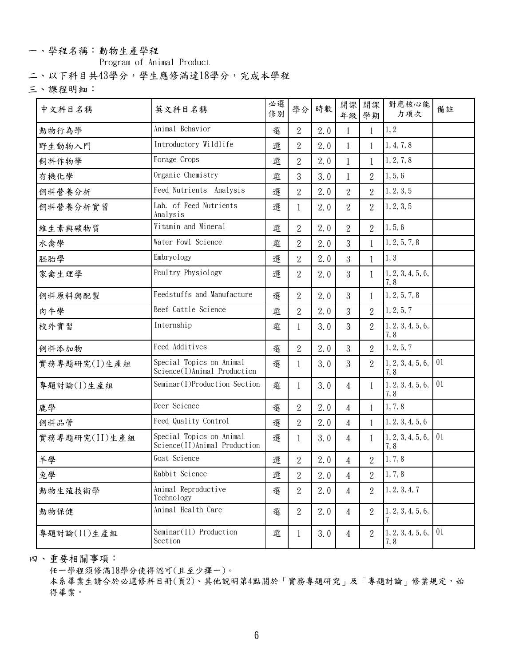## 一、學程名稱: 動物生產學程

**Program of Animal Product**

**二、以下科目共43學分,學生應修滿達18學分,完成本學程**

**三、課程明細:**

| 中文科目名稱        | 英文科目名稱                                                   | 必選<br>修別 | 學分             | 時數  | 開課<br>年級       | 開課<br>學期       | 對應核心能<br>力項次                                    | 備註 |
|---------------|----------------------------------------------------------|----------|----------------|-----|----------------|----------------|-------------------------------------------------|----|
| 動物行為學         | Animal Behavior                                          | 選        | $\mathbf{2}$   | 2.0 |                |                | 1, 2                                            |    |
| 野生動物入門        | Introductory Wildlife                                    | 選        | $\mathbf{2}$   | 2.0 |                |                | 1, 4, 7, 8                                      |    |
| 飼料作物學         | Forage Crops                                             | 選        | $\overline{2}$ | 2.0 |                |                | 1, 2, 7, 8                                      |    |
| 有機化學          | Organic Chemistry                                        | 選        | 3              | 3.0 |                | $\overline{2}$ | 1, 5, 6                                         |    |
| 飼料營養分析        | Feed Nutrients Analysis                                  | 選        | $\overline{2}$ | 2.0 | $\overline{2}$ | $\overline{2}$ | 1, 2, 3, 5                                      |    |
| 飼料營養分析實習      | Lab. of Feed Nutrients<br>Analysis                       | 選        |                | 2.0 | $\overline{2}$ | $\overline{2}$ | 1, 2, 3, 5                                      |    |
| 維生素與礦物質       | Vitamin and Mineral                                      | 選        | $\overline{2}$ | 2.0 | $\overline{2}$ | 2              | 1, 5, 6                                         |    |
| 水禽學           | Water Fowl Science                                       | 選        | $\overline{2}$ | 2.0 | $\overline{3}$ |                | 1, 2, 5, 7, 8                                   |    |
| 胚胎學           | Embryology                                               | 選        | $\overline{2}$ | 2.0 | $\overline{3}$ |                | 1, 3                                            |    |
| 家禽生理學         | Poultry Physiology                                       | 選        | $\overline{2}$ | 2.0 | 3              |                | 1, 2, 3, 4, 5, 6,<br>7,8                        |    |
| 飼料原料與配製       | Feedstuffs and Manufacture                               | 選        | $\overline{2}$ | 2.0 | 3              |                | 1, 2, 5, 7, 8                                   |    |
| 肉牛學           | Beef Cattle Science                                      | 選        | $\overline{2}$ | 2.0 | 3              | $\overline{2}$ | 1, 2, 5, 7                                      |    |
| 校外實習          | Internship                                               | 選        |                | 3.0 | 3              | $\overline{2}$ | 1, 2, 3, 4, 5, 6,<br>7,8                        |    |
| 飼料添加物         | Feed Additives                                           | 選        | $\overline{2}$ | 2.0 | 3              | 2              | 1, 2, 5, 7                                      |    |
| 實務專題研究(I)生產組  | Special Topics on Animal<br>Science(I)Animal Production  | 選        |                | 3.0 | 3              | $\overline{2}$ | 1, 2, 3, 4, 5, 6,<br>7,8                        | 01 |
| 專題討論(I)生產組    | Seminar(I)Production Section                             | 選        | 1              | 3.0 | 4              |                | 1, 2, 3, 4, 5, 6,<br>7,8                        | 01 |
| 鹿學            | Deer Science                                             | 選        | $\mathbf{2}$   | 2.0 | $\overline{4}$ |                | 1, 7, 8                                         |    |
| 飼料品管          | Feed Quality Control                                     | 選        | $\mathbf{2}$   | 2.0 | 4              |                | 1, 2, 3, 4, 5, 6                                |    |
| 實務專題研究(II)生產組 | Special Topics on Animal<br>Science(II)Animal Production | 選        |                | 3.0 | 4              |                | 1, 2, 3, 4, 5, 6,<br>7,8                        | 01 |
| 羊學            | Goat Science                                             | 選        | $\sqrt{2}$     | 2.0 | $\overline{4}$ | 2              | 1, 7, 8                                         |    |
| 兔學            | Rabbit Science                                           | 選        | $\,2$          | 2.0 | $\overline{4}$ | $\overline{2}$ | 1, 7, 8                                         |    |
| 動物生殖技術學       | Animal Reproductive<br>Technology                        | 選        | $\overline{2}$ | 2.0 | $\overline{4}$ | 2              | 1, 2, 3, 4, 7                                   |    |
| 動物保健          | Animal Health Care                                       | 選        | $\overline{2}$ | 2.0 | $\overline{4}$ | 2              | 1, 2, 3, 4, 5, 6,                               |    |
| 專題討論(II)生產組   | Seminar(II) Production<br>Section                        | 選        |                | 3.0 | $\overline{4}$ | $\overline{2}$ | $\vert 1, 2, 3, 4, 5, 6, \vert 01 \vert$<br>7,8 |    |
|               |                                                          |          |                |     |                |                |                                                 |    |

**四、重要相關事項:**

**任一學程須修滿18學分使得認可(且至少擇一)。**

**本系畢業生請合於必選修科目冊(頁2)、其他說明第4點關於「實務專題研究」及「專題討論」修業規定,始 得畢業。**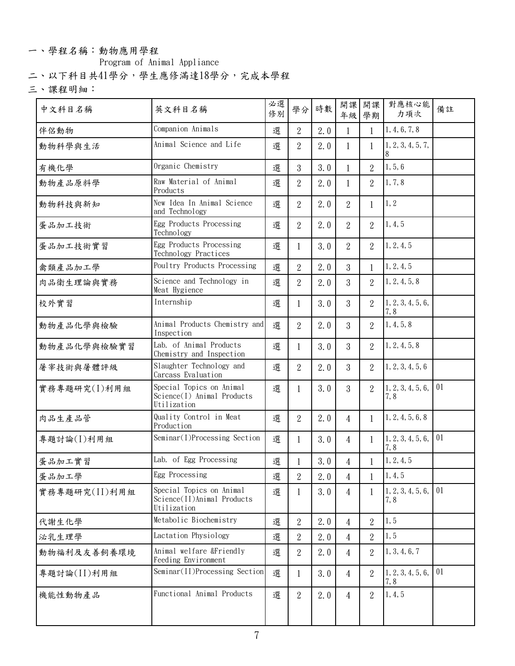## 一、學程名稱:動物應用學程

**Program of Animal Appliance**

**二、以下科目共41學分,學生應修滿達18學分,完成本學程**

**三、課程明細:**

| 中文科目名稱        | 英文科目名稱                                                                | 必選<br>修別 | 學分             | 時數  | 開課             | 開課<br>年級 學期    | 對應核心能<br>力項次                                    | 備註 |
|---------------|-----------------------------------------------------------------------|----------|----------------|-----|----------------|----------------|-------------------------------------------------|----|
| 伴侶動物          | Companion Animals                                                     | 選        | $\overline{2}$ | 2.0 |                |                | 1, 4, 6, 7, 8                                   |    |
| 動物科學與生活       | Animal Science and Life                                               | 選        | $\overline{2}$ | 2.0 |                |                | 1, 2, 3, 4, 5, 7,                               |    |
| 有機化學          | Organic Chemistry                                                     | 選        | 3              | 3.0 |                | $\overline{2}$ | 1, 5, 6                                         |    |
| 動物產品原料學       | Raw Material of Animal<br>Products                                    | 選        | $\overline{2}$ | 2.0 |                | $\overline{2}$ | 1, 7, 8                                         |    |
| 動物科技與新知       | New Idea In Animal Science<br>and Technology                          | 選        | $\overline{2}$ | 2.0 | 2              |                | 1, 2                                            |    |
| 蛋品加工技術        | Egg Products Processing<br>Technology                                 | 選        | $\overline{2}$ | 2.0 | 2              | 2              | 1, 4, 5                                         |    |
| 蛋品加工技術實習      | Egg Products Processing<br>Technology Practices                       | 選        |                | 3.0 | 2              | 2              | 1, 2, 4, 5                                      |    |
| 禽類產品加工學       | Poultry Products Processing                                           | 選        | $\mathbf{2}$   | 2.0 | 3              |                | 1, 2, 4, 5                                      |    |
| 肉品衛生理論與實務     | Science and Technology in<br>Meat Hygience                            | 選        | $\overline{2}$ | 2.0 | 3              | $\overline{2}$ | 1, 2, 4, 5, 8                                   |    |
| 校外實習          | Internship                                                            | 選        | -1             | 3.0 | $\overline{3}$ | $\overline{2}$ | 1, 2, 3, 4, 5, 6,<br>7,8                        |    |
| 動物產品化學與檢驗     | Animal Products Chemistry and<br>Inspection                           | 選        | $\overline{2}$ | 2.0 | 3              | 2              | 1, 4, 5, 8                                      |    |
| 動物產品化學與檢驗實習   | Lab. of Animal Products<br>Chemistry and Inspection                   | 選        |                | 3.0 | 3              | 2              | 1, 2, 4, 5, 8                                   |    |
| 屠宰技術與屠體評級     | Slaughter Technology and<br>Carcass Evaluation                        | 選        | $\overline{2}$ | 2.0 | $\overline{3}$ | $\overline{2}$ | 1, 2, 3, 4, 5, 6                                |    |
| 實務專題研究(I)利用組  | Special Topics on Animal<br>Science(I) Animal Products<br>Utilization | 選        | 1              | 3.0 | 3              | $\overline{2}$ | 1, 2, 3, 4, 5, 6,<br>7,8                        | 01 |
| 肉品生產品管        | Quality Control in Meat<br>Production                                 | 選        | $\overline{2}$ | 2.0 | 4              |                | 1, 2, 4, 5, 6, 8                                |    |
| 專題討論(I)利用組    | Seminar(I)Processing Section                                          | 選        | 1              | 3.0 | 4              | $\mathbf{1}$   | $\vert 1, 2, 3, 4, 5, 6, \vert 01 \vert$<br>7,8 |    |
| 蛋品加工實習        | Lab. of Egg Processing                                                | 選        |                | 3.0 | $\overline{4}$ |                | 1, 2, 4, 5                                      |    |
| 蛋品加工學         | Egg Processing                                                        | 選        | $\,2$          | 2.0 | $\overline{4}$ |                | 1, 4, 5                                         |    |
| 實務專題研究(II)利用組 | Special Topics on Animal<br>Science(II)Animal Products<br>Utilization | 選        |                | 3.0 | $\overline{4}$ |                | 1, 2, 3, 4, 5, 6,<br>7,8                        | 01 |
| 代謝生化學         | Metabolic Biochemistry                                                | 選        | $\overline{2}$ | 2.0 | $\overline{4}$ | $\overline{2}$ | 1, 5                                            |    |
| 泌乳生理學         | Lactation Physiology                                                  | 選        | $\mathbf{2}$   | 2.0 | $\overline{4}$ | $\overline{2}$ | 1, 5                                            |    |
| 動物福利及友善飼養環境   | Animal welfare &Friendly<br>Feeding Environment                       | 選        | $\overline{2}$ | 2.0 | 4              | $\overline{2}$ | 1, 3, 4, 6, 7                                   |    |
| 專題討論(II)利用組   | Seminar(II)Processing Section                                         | 選        | 1              | 3.0 | 4              | $\overline{2}$ | $1, 2, 3, 4, 5, 6, \vert 01 \vert$<br>7,8       |    |
| 機能性動物產品       | Functional Animal Products                                            | 選        | $\overline{2}$ | 2.0 | 4              | $\overline{2}$ | 1, 4, 5                                         |    |
|               |                                                                       |          |                |     |                |                |                                                 |    |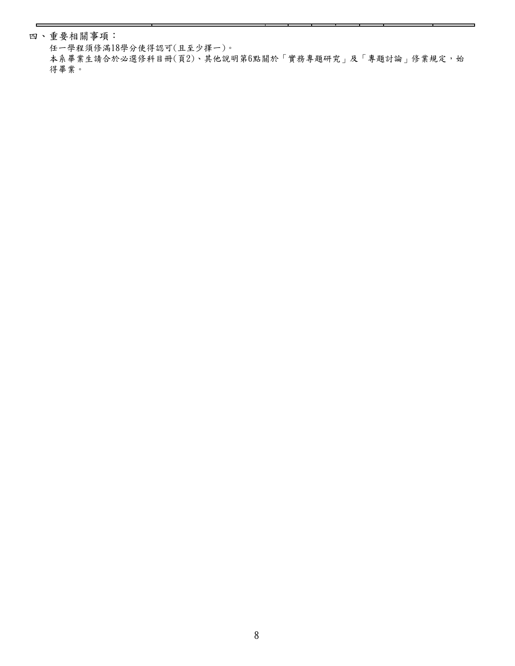**四、重要相關事項:**

**任一學程須修滿18學分使得認可(且至少擇一)。**

**本系畢業生請合於必選修科目冊(頁2)、其他說明第6點關於「實務專題研究」及「專題討論」修業規定,始 得畢業。**